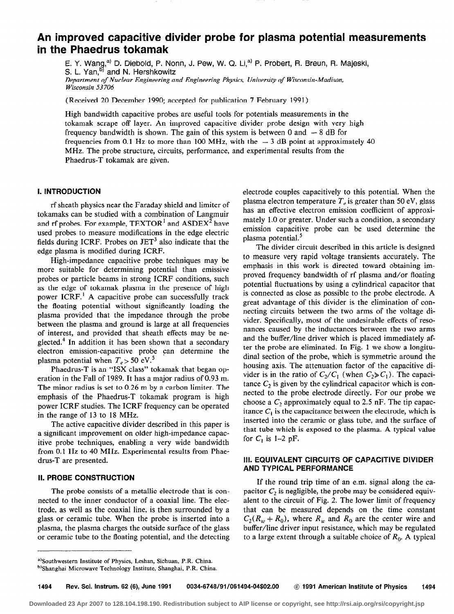# An improved capacitive divider probe for plasma potential measurements in the Phaedrus tokamak

E. Y. Wang,<sup>a</sup>' D. Diebold, P. Nonn, J. Pew, W. Q. Li,<sup>a</sup>' P. Probert, R. Breun, R. Majeski.<br>S. L. Yan.<sup>b)</sup> and N. Hershkowitz S. L. Yan," and N. Hershkowit Department of Nuclear Engineering and Engineering Physics, University of Wisconsin-Madison, Wisconsin 53 706

(Received 20 December 1990; accepted for publication 7 February 1991)

High bandwidth capacitive probes are useful tools for potentials measurements in the tokamak scrape off layer. An improved capacitive divider probe design with very high frequency bandwidth is shown. The gain of this system is between 0 and - 8 dB for frequencies from 0.1 Hz to more than 100 MHz, with the  $-3$  dB point at approximately 40 MHz. The probe structure, circuits, performance, and experimental results from the Phaedrus-T tokamak are given.

# 1. INTRODUCTION

rf sheath physics near the Faraday shield and limiter of tokamaks can be studied with a combination of Langmuir and rf probes. For example,  $TESTOR<sup>1</sup>$  and  $ASDEX<sup>2</sup>$  have used probes to measure modifications in the edge electric fields during ICRF. Probes on  $JET<sup>3</sup>$  also indicate that the edge plasma is modified during ICRF.

High-impedance capacitive probe techniques may be more suitable for determining potential than emissive probes or particle beams in strong ICRF conditions, such as the edge of tokamak plasma in the presence of high power ICRF.' A capacitive probe can successfully track the floating potential without significantly loading the plasma provided that the impedance through the probe between the plasma and ground is large at all frequencies of interest, and provided that sheath effects may be neglected.<sup>4</sup> In addition it has been shown that a secondary electron emission-capacitive probe can determine the plasma potential when  $T_e > 50$  eV.<sup>5</sup>

Phaedrus-T is an "ISX class" tokamak that began operation in the Fall of 1989. It has a major radius of 0.93 m. The minor radius is set to 0.26 m by a carbon limiter. The emphasis of the Phaedrus-T tokamak program is high power ICRF studies. The ICRF frequency can be operated in the range of 13 to 18 MHz.

The active capacitive divider described in this paper is a significant improvement on older high-impedance capacitive probe techniques, enabling a very wide bandwidth from 0.1 Hz to 40 MHz. Experimental results from Phaedrus-T are presented.

# II. PROBE CONSTRUCTION

The probe consists of a metallic electrode that is connected to the inner conductor of a coaxial line. The electrode, as well as the coaxial line, is then surrounded by a glass or ceramic tube. When the probe is inserted into a plasma, the plasma charges the outside surface of the glass or ceramic tube to the floating potential, and the detecting electrode couples capacitively to this potential. When the plasma electron temperature  $T<sub>e</sub>$  is greater than 50 eV, glass has an effective electron emission coefficient of approximately 1.0 or greater. Under such a condition, a secondary emission capacitive probe can be used determine the plasma potential.<sup>5</sup>

The divider circuit described in this article is designed to measure very rapid voltage transients accurately. The emphasis in this work is directed toward obtaining improved frequency bandwidth of rf plasma and/or floating potential fluctuations by using a cylindrical capacitor that is connected as close as possible to the probe electrode. A great advantage of this divider is the elimination of connecting circuits between the two arms of the voltage divider. Specifically, most of the undesirable effects of resonances caused by the inductances between the two arms and the buffer/line driver which is placed immediately after the probe are eliminated. In Fig. 1 we show a longitudinal section of the probe, which is symmetric around the housing axis. The attenuation factor of the capacitive divider is in the ratio of  $C_2/C_1$  (when  $C_2 \gg C_1$ ). The capacitance  $C_2$  is given by the cylindrical capacitor which is connected to the probe electrode directly. For our probe we choose a  $C_2$  approximately equal to 2.5 nF. The tip capacitance  $C_1$  is the capacitance between the electrode, which is inserted into the ceramic or glass tube, and the surface of that tube which is exposed to the plasma. A typical value for  $C_1$  is 1–2 pF.

# III. EQUIVALENT CIRCUITS OF CAPACITIVE DIVIDER AND TYPICAL PERFORMANCE

If the round trip time of an e.m. signal along the capacitor  $C_2$  is negligible, the probe may be considered equivalent to the circuit of Fig. 2. The lower limit of frequency that can be measured depends on the time constant  $C_2(R_w + R_0)$ , where  $R_w$  and  $R_0$  are the center wire and buffer/line driver input resistance, which may be regulated to a large extent through a suitable choice of  $R_0$ . A typical

a)Southwestern Institute of Physics, Leshan, Sichuan, P.R. China. <sup>b)</sup>Shanghai Microwave Technology Institute, Shanghai, P.R. China.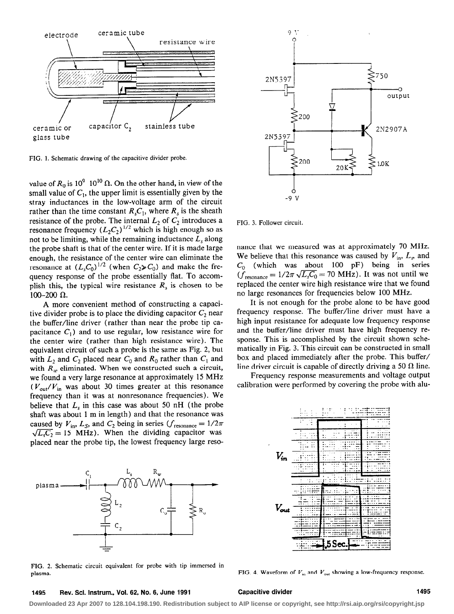

FIG. 1. Schematic drawing of the capacitive divider probe.

value of  $R_0$  is  $10^9-10^{10}$   $\Omega$ . On the other hand, in view of the small value of  $C_1$ , the upper limit is essentially given by the stray inductances in the low-voltage arm of the circuit rather than the time constant  $R_sC_1$ , where  $R_s$  is the sheath resistance of the probe. The internal  $L_2$  of  $C_2$  introduces a resonance frequency  $(L_2C_2)^{1/2}$  which is high enough so as not to be limiting, while the remaining inductance  $L<sub>s</sub>$  along the probe shaft is that of the center wire. If it is made large enough, the resistance of the center wire can eliminate the resonance at  $(L_sC_0)^{1/2}$  (when  $C_2>C_0$ ) and make the frequency response of the probe essentially flat. To accomplish this, the typical wire resistance  $R_s$  is chosen to be  $100-200 \Omega$ .

A more convenient method of constructing a capacitive divider probe is to place the dividing capacitor  $C_2$  near the buffer/line driver (rather than near the probe tip capacitance  $C_1$ ) and to use regular, low resistance wire for the center wire (rather than high resistance wire). The equivalent circuit of such a probe is the same as Fig. 2, but with  $L_2$  and  $C_2$  placed near  $C_0$  and  $R_0$  rather than  $C_1$  and with  $R_w$  eliminated. When we constructed such a circuit, we found a very large resonance at approximately 15 MHz  $(V_{\text{out}}/V_{\text{in}})$  was about 30 times greater at this resonance frequency than it was at nonresonance frequencies). We believe that  $L<sub>s</sub>$  in this case was about 50 nH (the probe shaft was about 1 m in length) and that the resonance was caused by  $V_{\text{in}}$ ,  $L_S$ , and  $C_2$  being in series ( $f_{\text{resonance}} = 1/2\pi$  $\sqrt{L_{1}C_{2}}$  = 15 MHz). When the dividing capacitor was placed near the probe tip, the lowest frequency large reso-



FIG. 2. Schematic circuit equivalent for probe with tip immersed in plasma. FIG. 4. Waveform of  $V_{\text{in}}$  and  $V_{\text{out}}$  showing a low-frequency response.



FIG. 3. Follower circuit.

nance that we measured was at approximately 70 MHz. We believe that this resonance was caused by  $V_{in}$ ,  $L_s$ , and  $C_0$  (which was about 100 pF) being in series  $(\tilde{f}_{resonance} = 1/2\pi \sqrt{L_s C_0} = 70 \text{ MHz})$ . It was not until we replaced the center wire high resistance wire that we found no large resonances for frequencies below 100 MHz.

It is not enough for the probe alone to be have good frequency response. The buffer/line driver must have a high input resistance for adequate low frequency response and the buffer/line driver must have high frequency response. This is accomplished by the circuit shown schematically in Fig. 3. This circuit can be constructed in small box and placed immediately after the probe. This buffer/ line driver circuit is capable of directly driving a 50  $\Omega$  line.

Frequency response measurements and voltage output calibration were performed by covering the probe with alu-



### 1495 Rev. Sci. Instrum., Vol. 62, No. 6, June 1991 Capacitive divider 1495

**Downloaded 23 Apr 2007 to 128.104.198.190. Redistribution subject to AIP license or copyright, see http://rsi.aip.org/rsi/copyright.jsp**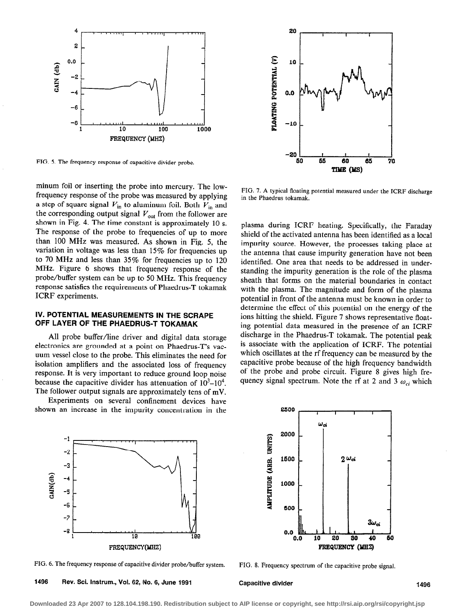

FIG. 5. The frequency response of capacitive divider probe.

minum foil or inserting the probe into mercury. The lowfrequency response of the probe was measured by applying a step of square signal  $V_{in}$  to aluminum foil. Both  $V_{in}$  and the corresponding output signal  $V_{\text{out}}$  from the follower are shown in Fig. 4. The time constant is approximately 10 s. The response of the probe to frequencies of up to more than 100 MHz was measured. As shown in Fig. 5, the variation in voltage was less than 15% for frequencies up to 70 MHz and less than 35% for frequencies up to 120 MHz. Figure 6 shows that frequency response of the probe/buffer system can be up to 50 MHz. This frequency response satisfies the requirements of Phaedrus-T tokamak ICRF experiments.

# IV. POTENTIAL MEASUREMENTS IN THE SCRAPE OFF LAYER OF THE PHAEDRUS-T TOKAMAK

All probe buffer/line driver and digital data storage electronics are grounded at a point on Phaedrus-T's vacuum vessel close to the probe. This eliminates the need for isolation amplifiers and the associated loss of frequency response. It is very important to reduce ground loop noise because the capacitive divider has attenuation of  $10^3$ – $10^4$ . The follower output signals are approximately tens of mV.

Experiments on several confinement devices have shown an increase in the impurity concentration in the



FIG. 7. A typical floating potential measured under the ICRF discharge in the Phaedrus tokamak,

plasma during ICRF heating. Specifically, the Faraday shield of the activated antenna has been identified as a local impurity source. However, the processes taking place at the antenna that cause impurity generation have not been identified. One area that needs to be addressed in understanding the impurity generation is the role of the plasma sheath that forms on the material boundaries in contact with the plasma. The magnitude and form of the plasma potential in front of the antenna must be known in order to determine the effect of this potential on the energy of the ions hitting the shield. Figure 7 shows representative floating potential data measured in the presence of an ICRF discharge in the Phaedrus-T tokamak. The potential peak is associate with the application of ICRF. The potential which oscillates at the rf frequency can be measured by the capacitive probe because of the high frequency bandwidth of the probe and probe circuit. Figure 8 gives high frequency signal spectrum. Note the rf at 2 and 3  $\omega_{ci}$  which



FIG. 6. The frequency response of capacitive divider probe/buffer system. FIG. 8. Frequency spectrum of the capacitive probe signal.

1496 Rev. Sci. Instrum., Vol. 62, No. 6, June 1991 Capacitive divider

2000 AMPLITUDE (ARB. UNITS) 1500  $2\omega_{ci}$ 1000 500  $3\omega_{ci}$  $0.0$   $0.0$ 0.0 20 230 40 80 FREQUENCY (MHZ)

2500

**Downloaded 23 Apr 2007 to 128.104.198.190. Redistribution subject to AIP license or copyright, see http://rsi.aip.org/rsi/copyright.jsp**